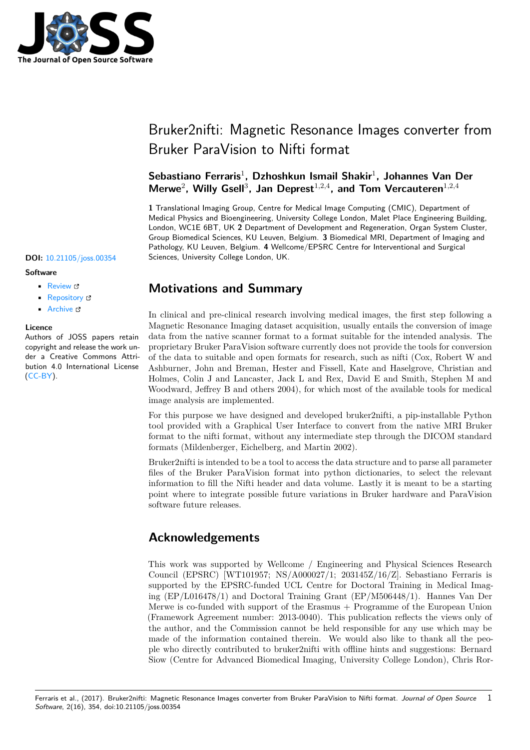

# Bruker2nifti: Magnetic Resonance Images converter from Bruker ParaVision to Nifti format

## **Sebastiano Ferraris**<sup>1</sup> **, Dzhoshkun Ismail Shakir**<sup>1</sup> **, Johannes Van Der** Merwe<sup>2</sup>, Willy Gsell<sup>3</sup>, Jan Deprest<sup>1,2,4</sup>, and Tom Vercauteren<sup>1,2,4</sup>

**1** Translational Imaging Group, Centre for Medical Image Computing (CMIC), Department of Medical Physics and Bioengineering, University College London, Malet Place Engineering Building, London, WC1E 6BT, UK **2** Department of Development and Regeneration, Organ System Cluster, Group Biomedical Sciences, KU Leuven, Belgium. **3** Biomedical MRI, Department of Imaging and Pathology, KU Leuven, Belgium. **4** Wellcome/EPSRC Centre for Interventional and Surgical **DOI:** 10.21105/joss.00354 Sciences, University College London, UK.

### **Software**

- Review &
- [Repository](https://doi.org/10.21105/joss.00354) &
- Archive

#### **Licence**

Autho[rs of JOSS](https://github.com/SebastianoF/bruker2nifti) papers retain copyright and release the work under a [Creativ](http://dx.doi.org/10.5281/zenodo.846814)e Commons Attribution 4.0 International License (CC-BY).

## **Motivations and Summary**

In clinical and pre-clinical research involving medical images, the first step following a Magnetic Resonance Imaging dataset acquisition, usually entails the conversion of image data from the native scanner format to a format suitable for the intended analysis. The proprietary Bruker ParaVision software currently does not provide the tools for conversion of the data to suitable and open formats for research, such as nifti (Cox, Robert W and Ashburner, John and Breman, Hester and Fissell, Kate and Haselgrove, Christian and Holmes, Colin J and Lancaster, Jack L and Rex, David E and Smith, Stephen M and Woodward, [Jeffrey B and othe](https://www.bruker.com/products/mr/preclinical-mri/software/service-support.html)rs 2004), for which most of the available tools for medical image analysis are implemented.

For this purpose we have designed and developed bruker2nifti, a pip-installable Python tool provided with a Graphical User Interface to convert from the native MRI Bruker format to the nifti format, without any intermediate step through the DICOM standard formats (Mildenberger, Eichelberg, and Martin 2002).

Bruker2nifti is intended to be a tool to access the da[ta structure](https://github.com/SebastianoF/bruker2nifti) and to parse all parameter files of the Bruker ParaVision format into python dictionaries, to select the relevant information to fill the Nifti header and data volume. Lastly it is meant to be a starting point where to integrate possible future variations in Bruker hardware and ParaVision software future releases.

## **Acknowledgements**

This work was supported by Wellcome / Engineering and Physical Sciences Research Council (EPSRC) [WT101957; NS/A000027/1; 203145Z/16/Z]. Sebastiano Ferraris is supported by the EPSRC-funded UCL Centre for Doctoral Training in Medical Imaging (EP/L016478/1) and Doctoral Training Grant (EP/M506448/1). Hannes Van Der Merwe is co-funded with support of the Erasmus + Programme of the European Union (Framework Agreement number: 2013-0040). This publication reflects the views only of the author, and the Commission cannot be held responsible for any use which may be made of the information contained therein. We would also like to thank all the people who directly contributed to bruker2nifti with offline hints and suggestions: Bernard Siow (Centre for Advanced Biomedical Imaging, University College London), Chris Ror-